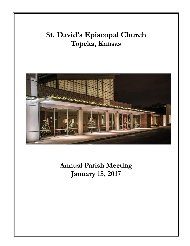# **St. David's Episcopal Church Topeka, Kansas**



**Annual Parish Meeting January 15, 2017**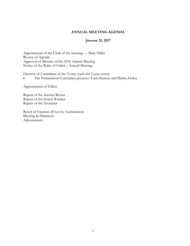#### **ANNUAL MEETING AGENDA**

### **January 15, 2017**

Appointment of the Clerk of the meeting — Mary Hillin Review of Agenda Approval of Minutes of the 2016 Annual Meeting Notice of the Rules of Order – Annual Meeting

Election of 2 members of the Vestry (each for 3-year terms)

The Nomination Committee presents: Tuck Duncan and Shirley Golos

Appointment of Tellers

Report of the Interim Rector Report of the Senior Warden Report of the Treasurer

Result of Election (If not by Acclamation) Blessing & Dismissal Adjournment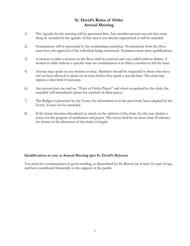# **St. David's Rules of Order Annual Meeting**

- 1) The Agenda for the meeting will be presented first. Any member present can ask that some thing be included in the agenda. If that area is not already represented, it will be included.
- 2) Nominations will be presented by the nominating committee. Nominations from the floor must have the approval of the individual being nominated. Nominees must meet qualifications.
- 3) A motion to table a motion on the floor shall be received and vote called without debate. A motion to table without a specific time for consideration is in effect a motion to kill the issue.
- 4) Anyone may speak on any motion or issue. Members should be respectful to those who have not yet been allowed to speak on an issue before they speak a second time. The chair may impose a time limit if necessary.
- 6) Any person may rise and say "Point of Order-Prayer" and when recognized by the chair, the assembly will immediately pause for a period of silent prayer.
- 7) The Budget is presented by the Vestry for information as it has previously been adopted by the Vestry. It may not be amended.
- 8) If the house becomes disordered or unruly in the opinion of the chair, he/she may declare a recess for the purpose of meditation and prayer. The recess shall be no more than 30 minutes (or shorter at the discretion of the chair) in length.

### **Qualifications to vote at Annual Meeting (per St. David's Bylaws):**

You must be a communicant in good standing, as determined by the Rector, be at least 16 years of age, and have contributed financially to the support of the parish.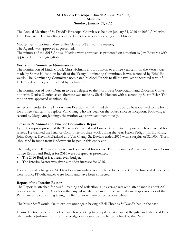### **St. David's Episcopal Church Annual Meeting Minutes Sunday, January 31, 2016**

The Annual Meeting of St. David's Episcopal Church was held on January 31, 2016 at 10:30 A.M. with Holy Eucharist. The meeting continued after the service following a brief break.

Mother Betty appointed Mary Hillin Clerk Pro Tem for the meeting.

The Agenda was approved as presented.

The minutes of the 2015 Annual Meeting were approved as presented on a motion by Jim Edwards with approval by the congregation.

### **Vestry and Committee Nominations**

The nomination of Linda Crowl, Chris Holman, and Bob Exon to a three-year term on the Vestry was made by Shirlie Hudson on behalf of the Vestry Nominating Committee. It was seconded by Ethel Edwards. The Nominating Committee nominated Michael Francis to fill the two-year unexpired term of Helen Pedigo. They were elected by acclamation.

The nomination of Tuck Duncan to be a delegate to the Northwest Convocation and Diocesan Convention with Denise Dietrich as an alternate was made by Shirlie Hudson with a second by Susan Byler. The motion was approved unanimously.

As recommended by the Endowment Board, it was affirmed that Jim Edwards be appointed to the board for a three-year term to replace Van Chang who has been on the Board since its inception. Following a second by Mary Ann Jennings, the motion was approved unanimously.

### **Treasurer's Annual and Finance Committee Report**

Lynn Thompson presented the Treasurer's Annual and Finance Committee Report which is attached for review. He thanked the Finance Committee for their work during the year; Helen Pedigo, Jim Edwards, John Koepke, Kevin McFarland and Van Chang. St. David's ended 2015 with a surplus of \$20,000. Thirty -thousand in funds from Endowment helped in this endeavor.

The budget for 2016 was presented and is attached for review. The Treasurer's Annual and Finance Committee Report and Budget for 2016 were accepted as presented.

- The 2016 Budget is a break even budget.
- The Interim Rector was given a modest increase for 2016.

Following staff changes at St. David's a mini audit was completed by BT and Co. No financial deficiencies were found. IT deficiencies were found and have been corrected.

### **Report of the Interim Rector**

The Report is attached for careful reading and reflection. The average weekend attendance is about 200 persons which puts St David's on the cusp of needing a Curate. The pastoral care responsibilities of the Parish are time consuming taking the Rector away from other responsibilities.

The Music Staff would like to explore once again having a Bell Choir as St David's had in the past.

Denise Dietrich, one of the office angels is working to compile a data base of the gifts and talents of Parish members (information from the pledge cards) so it can be better utilized by the Parish.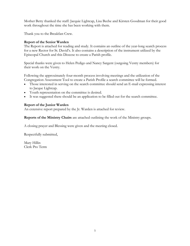Mother Betty thanked the staff: Jacquie Lightcap, Lisa Beebe and Kirsten Goodman for their good work throughout the time she has been working with them.

Thank you to the Breakfast Crew.

### **Report of the Senior Warden**

The Report is attached for reading and study. It contains an outline of the year-long search process for a new Rector for St. David's. It also contains a description of the instrument utilized by the Episcopal Church and this Diocese to create a Parish profile.

Special thanks were given to Helen Pedigo and Nancy Sargent (outgoing Vestry members) for their work on the Vestry.

Following the approximately four-month process involving meetings and the utilization of the Congregation Assessment Tool to create a Parish Profile a search committee will be formed.

- Those interested in serving on the search committee should send an E-mail expressing interest to Jacque Lightcap.
- Youth representation on the committee is desired.
- It was suggested there should be an application to be filled out for the search committee.

### **Report of the Junior Warden**

An extensive report prepared by the Jr. Warden is attached for review.

**Reports of the Ministry Chairs** are attached outlining the work of the Ministry groups.

A closing prayer and Blessing were given and the meeting closed.

Respectfully submitted,

Mary Hillin Clerk Pro Term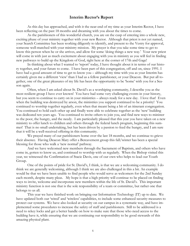### **Interim Rector's Report**

As this day has approached, and with it the near-end of my time as your Interim Rector, I have been reflecting on the past 18 months and dreaming with you about the times to come.

As the parishioners of this wonderful church, you are on the cusp of entering into a whole new, exciting phase of your ministry together with your new Rector. Although that priest is not yet named, your Search Committee has been working diligently to identify, and present to the Vestry for approval, someone well-matched with your ministry mission. My prayer is that you take some time to get to know this person when he or she arrives, and allow for some 'doing things a new way.' Your new priest will come in with just as much excitement about engaging with you in ministry as you will feel in finding new pathways to build up the Kingdom of God, right here at the corner of 17th and Gage!

In thinking about what I wanted to 'report' today, I have thought about it in terms of our history together, and your future to come. I have been part of this congregation, off and on, since 1991. I have had a good amount of time to get to know you – although my time with you as your Interim has certainly given me a different 'view' than I had as a fellow parishioner, or your Deacon. But put all together, one of the great pleasures of my life has been the opportunity to be 'home' with you for a Season again.

Often, when I am asked about St. David's as a worshiping community, I describe you as the most resilient group I have ever known! You have had some very challenging events in your history, but you seem to continue to carry on in your ministries – always ready for a new day. I love that! Even when the building was destroyed by arson, the ministries you support continued to be a priority! You continued to worship together regularly, even when that meant being a bit of an itinerant congregation. You continued to hold each other up and finally were able to celebrate together as the 'new' building was dedicated ten years ago. You continued to invite others to join you, and find new ways to minister to the poor, the hungry, and the needy. I am particularly pleased that this year you have taken on a new ministry to offer lunch to children and others through the federal lunch program, beginning this summer! That is no small undertaking, but has been driven by a passion to feed the hungry, and I am sure that it will be a well-received offering in this community.

We prayed many of our parishioners home over the last 18 months, and we continue to grieve their absence. Having Deacon Mary offer a Bereavement group this fall/winter has been a special blessing for those who walk a 'new normal' pathway.

And we have welcomed new members through the Sacrament of Baptism, and others who have come in, gotten to know us, and continued to worship with us regularly. When the Bishop visited this year, we witnessed the Confirmation of Stacie Davis, one of our own who helps to lead our Youth Group.

One of the points of pride for St. David's, I think, is that we are a welcoming community. I do think we are generally welcoming, although I think we are also challenged in this a bit. An example would be that we have been unable to find people who would serve as welcomers for the 2nd Sunday each month, despite many pleas. My hope is that a high priority will continue to be placed on finding ways to invite, welcome and incorporate new members within the life of St. David's. This important ministry function is not one that is the sole responsibility of a team or committee, but rather one that belongs to us all.

This year we have finished work on bringing our Information Technology (IT) up to date. We have updated both our 'wired' and 'wireless' capabilities, to include some enhanced security measures to protect our systems. We have also looked at security on our campus in a systematic way, and have implemented some procedures to increase the safety of staff and parishioners. Still to be addressed is a need to rekey locks and get a better handle on how to make sure that those who need access to the building have it, while ensuring that we are continuing our responsibility to be good stewards of this amazing physical plant.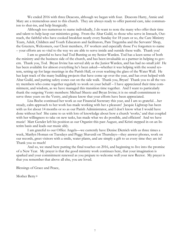We ended 2016 with three Deacons, although we began with four. Deacons Harry, Annie and Mary are a tremendous asset to this church. They are always ready to offer pastoral care, take communion to shut-ins, and help liturgically.

Although too numerous to name individually, I do want to note the many who offer their time and talent to help keep our ministries going. From the Altar Guild, to those who serve in Inreach, Outreach, the faithful who have cooked breakfast nearly every Sunday for 18 years or so, the Care Ministry Team, Adult, Children and Youth Educators and facilitators, Pam Tregemba and the Servants' Shop, the Greeters, Welcomers, our Choir members, AV workers and especially those I've forgotten to name – your efforts are so vital to the way we are able to serve inside and outside these walls. Thank you!

I am so grateful to have had Tod Bunting as my Senior Warden. Tod has a keen sense of both the ministry and the business side of the church, and has been invaluable as a partner in helping to govern. Thank you, Tod. Bryan Irvine has served ably as the Junior Warden, and has had no small job! He has been available for almost everything he's been asked—whether it was helping with the sound system, setting up for large meetings in the Parish Hall, or even washing the glass of the Water Wall. He has kept track of the many building projects that have come up over the year, and has even helped with Altar Guild, and putting safety cones out on the side walk. Thank you, Bryan! Thank you to all the vestry members who come together regularly to work on your behalf – I have appreciated their time commitment, and wisdom, as we have managed this transition time together. And I want to particularly thank the outgoing Vestry members: Michael Sheetz and Bryan Irvine; it is no small commitment to serve three years on the Vestry, and please know that your efforts have been appreciated.

Lisa Beebe continued her work as our Financial Secretary this year, and I am so grateful…her steady, calm approach to her work has made working with her a pleasure! Jacquie Lightcap has been with us for about 14 months or so as our Parish Administrator, and I don't know what I would have done without her! She came to us with lots of knowledge about how a church 'works,' and that coupled with her willingness to take on new tasks, has made what we do possible, and efficient! And we have music! Matt Gender left his position as our Organist this past August, and Kristi stepped in on an Interim basis and leads our music ably.

I am grateful to our Office Angels—we currently have Denise Dietrich with us three times a week, Marilyn Homan on Tuesdays and Peggy Shaverdi on Thursdays—they answer phones, work on our records, greet visitors with a smile, water plants, and are simply a gift to us every time they are in! Thank you so much!

And so, we stand here putting the final touches on 2016, and beginning to live into the promise of a New Year. My prayer is that the good ministry work continues here, that your imagination is sparked and your commitment renewed as you prepare to welcome well your new Rector. My prayer is that you remember that above all else, you are loved.

Blessings of Grace and Peace,

Mother Betty+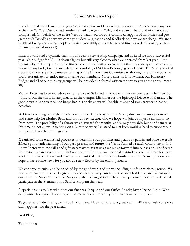# **Senior Warden's Report**

I was honored and blessed to be your Senior Warden, and I extend to our entire St David's family my best wishes for 2017. St David's had another remarkable year in 2016, and we can all be proud of what we accomplished. On behalf of the entire Vestry I thank you for your continued support of ministries and programs at St David's and we welcome your ideas, suggestions and feedback on how we are doing. We are a parish of loving and caring people who give unselfishly of their talent and time, as well of course, of their treasure (financial support).

Ethel Edwards led a dynamic team for this year's Stewardship campaign, and all in all we had a successful year. Our budget for 2017 is down slightly but still very close to what we operated from last year. Our treasurer Lynn Thompson and the finance committee worked even harder than they always do as we considered many budget issues, including the possibility of St David's bringing on a Curate. The Vestry worked closely with our superb volunteers serving on the Endowment Committee to thoroughly examine ways we could best utilize our endowment to serve our members. More details on Endowment, our Finances/ Budget and all of our ministry groups will be provided in formal written reports to you at the annual meeting.

Mother Betty has been incredible in her service to St David's and we wish her the very best in her new position, which she starts in late January, as the Campus Missioner for the Episcopal Diocese of Kansas. The good news is her new position keeps her in Topeka so we will be able to see and even serve with her on occasion!

St. David's is a large enough church to keep two Clergy busy, and the Vestry discussed many options to find some help for Mother Betty and for our new Rector, who we hope will join us in just a month or so from now. The possibility of a Curate was discussed for months, and is very desirable, but our finances at this time do not allow us to bring on a Curate so we will all need to just keep working hard to support our many church needs and programs.

We utilized some established processes to determine our priorities and goals as a parish, and once we established a good understanding of our past, present and future, the Vestry formed a search committee to find a new Rector with the skills and gifts necessary to assist us as we move forward into our vision. The Search Committee began its work this past Summer, and I extend my personal gratitude to each of them for their work on this very difficult and equally important task. We are nearly finished with the Search process and hope to have some news for you about a new Rector by the end of January.

We continue to enjoy and be enriched by the good works of many, including our four ministry groups. We have continued to be served a great breakfast nearly every Sunday by the Breakfast Crew, and we enjoyed once a month Super Saints Social Suppers, which changed to lunches. I am personally very excited we will participate in the Summer Food Service Program this year.

A special thanks to Lisa who does our finances; Jacquie and our Office Angels; Bryan Irvine, Junior Warden; Lynn Thompson, Treasurer; and all members of the Vestry for their service and support.

Together, and individually, we are St David's, and I look forward to a great year in 2017 and wish you peace and happiness for the year ahead.

God Bless,

Tod Bunting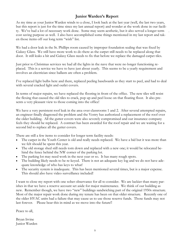# **Junior Warden's Report**

.

As my time as your Junior Warden winds to a close, I look back at the last year (well, the last two years, but this report is just for the time since my last annual report) and wonder at the work done in our facility. We've had a lot of necessary work done. Some may seem aesthetic, but it also served a longer term cost saving purpose as well. I also have accomplished some things mentioned in my last report and taken those items off our long term "wish" list.

We had a door leak in the St. Phillips room caused by improper foundation sealing that was fixed by Galaxy Glass. We still have more work to do there as the carpet still needs to be replaced along that door. It still leaks a bit and Galaxy Glass needs to fix that before we replace the damaged carpet tiles.

Just prior to Christmas services we had all the lights in the nave that were no longer functioning replaced. This is a service we have to have just about yearly. This seems to be a yearly requirement and involves an electrician since ballasts are often a problem.

I've replaced light bulbs here and there, replaced peeling baseboards as they start to peel, and had to deal with several cracked light and outlet covers.

In terms of major repairs, we have replaced the flooring in front of the office. The new tiles will resist the flexing that caused the old tiles to crack, pop up and peel loose on that floating floor. It also presents a very pleasant view to those coming into the office!

We have a very persistent roof leak in the area over classrooms 1 and 2. After several attempted repairs, an engineer finally diagnosed the problem and the Vestry has authorized a replacement of the roof over the older building. All the gutter covers were also severely compromised and our insurance company feels they should be replaced. A contract has been awarded for the roof repair and we are waiting for a second bid to replace all the gutter covers.

There are still a few items to consider for longer term facility needs:

- The carpet in the Youth Center is old and really needs replaced. We have a bid but it was more than we felt should be spent this year.
- The old storage shed still needs torn down and replaced with a new one; it would be relocated behind the fence behind the NW corner of the parking lot.
- The parking lot may need work in the next year or so. It has many rough spots.
- The building likely needs to be re-keyed. There is not an adequate key log and we do not have adequate knowledge of who has keys to what!
- The security system is inadequate. This has been mentioned several times, but is a major expense. This should also have video surveillance included!

I want to close my report with one sober observance for all to consider. We are luckier than many parishes in that we have a reserve account set aside for major maintenance. We think of our building as new. Remember though, we have two "new" buildings sandwiching part of the original 1950s structure. Most of the major repair work done during my tenure has been on that older structure. Recently one of the older HVAC units had a failure that may cause us to use those reserve funds. Those funds may not last forever. Please bear this in mind as we move into the future!!

Peace to all,

Bryan Irvine Junior Warden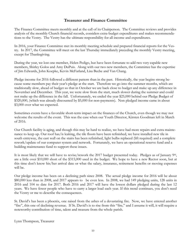# **Treasurer and Finance Committee**

The Finance Committee meets monthly and at the call of its Chairperson. The Committee reviews and provides analysis of the monthly Church financial records, considers extra-budget expenditures and makes recommendations to the Vestry. The Vestry has the ultimate responsibility for all income and expenditures.

In 2016, your Finance Committee met its monthly meeting schedule and prepared financial reports for the Vestry. In 2017, the Committee will meet on the last Thursday immediately preceding the monthly Vestry meeting, except for Thanksgiving.

During the year, we lost one member, Helen Pedigo, but have been fortunate to add two very capable new members, Shirley Golos and Amy DuPuis. Along with our two new members, the Committee has the expertise of Jim Edwards, John Koepke, Kevin McFarland, Lisa Beebe and Van Chang.

Pledge income for 2016 followed a different pattern than in the past. Historically, the year begins strong because some members pay their year's pledge at the start. Therefore we go into the summer months, which are traditionally slow, ahead of budget so that in October we are back close to budget and make up any difference in November and December. This year, we were slow from the start, much slower during the summer and could not make up the difference in the fall. Unfortunately, we ended the year \$25,000 behind our Pledge Budget of \$320,000, (which was already discounted by \$5,000 for non-payments). Non pledged income came in about \$3,000 over what we expected.

Sometimes events have a favorable short-term impact on the finances of the Church, even though we may not welcome the results of the event. This was the case when our Youth Director, Kirsten Goodman left in March of 2016.

Our Church facility is aging, and though this may be hard to realize, we have had more repairs and extra maintenance to keep up. Our roof has/is leaking, the tile floors have been refinished, we have installed new tile in south entryway, the east wall on the stairs has been refinished, light bulbs replaced (lift required) and a complete rework/update of our computer system and network. Fortunately, we have an operational reserve fund and a building maintenance fund to support these issues.

It is most likely that we will have to revise/rework the 2017 budget presented today. Pledges as of January 9<sup>th</sup>, are a little over \$10,000 short of the \$315,000 used in the budget. We hope to have a new Rector soon, but at this time don't know his/her arrival date or what the salary, insurance, retirement benefits or moving expenses will be.

Our pledge income has been on a declining path since 2008. The actual pledge income for 2016 will be about \$80,000 less than in 2008, and 2017 appears to be even less. In 2008, we had 149 pledging units, 128 units in 2016 and 104 to date for 2017. Both 2016 and 2017 will have the lowest dollars pledged during the last 12 years. We have fewer people who have to carry a larger load each year. If this trend continues, you don't need the Vestry or me to describe the consequences.

St. David's has been a phoenix, one raised from the ashes of a devastating fire. Now, we have entered another "fire", this one of declining revenue. If St. David's is to rise from this "fire," and I assume it will, it will require a noteworthy contribution of time, talent and treasure from the whole parish.

Lynn Thompson, Treasurer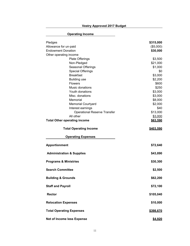# **Operating Income** Pledges **\$315,000**  Allowance for un-paid and the set of the set of the set of the set of the set of the set of the set of the set of the set of the set of the set of the set of the set of the set of the set of the set of the set of the set o Endowment Donation **\$30,000 \$30,000** Other operating income Plate Offerings  $$3,500$ Non-Pledged \$21,000 Seasonal Offerings  $$1,000$ Special Offerings  $\sim$ Breakfast \$3,000 Building use \$2,200 Flowers \$600 Music donations **\$250** Youth donations \$3,000 Misc. donations \$3,000 Memorial  $$8,000$ Memorial Courtyard **\$2,000** Interest earnings **\$40** Operational Reserve Transfer \$13,000 All other \$3,000 **Total Other operating income by the set of the set of the set of the set of the set of the set of the set of the set of the set of the set of the set of the set of the set of the set of the set of the set of the set of Total Operating Income 8403,590 Operating Expenses Apportionment \$72,640 Administration & Supplies \$43,890 Programs & Ministries \$30,300 Search Committee \$2,500 Building & Grounds**  $$62,200$ **Staff and Payroll \$72,100 Rector \$105,040 Relocation Expenses \$10,000 Total Operating Expenses \$398,670 Net of Income less Expense \$4,920**

**Vestry Approved 2017 Budget**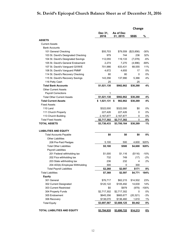# **St. David's Epicopal Church Balance Sheet as of December 31, 2016**

|                                     |                    |                       | Change          |           |
|-------------------------------------|--------------------|-----------------------|-----------------|-----------|
|                                     | Dec 31,<br>2016    | As of Dec<br>31, 2015 | \$\$\$\$        | %         |
| <b>ASSETS</b>                       |                    |                       |                 |           |
| <b>Current Assets</b>               |                    |                       |                 |           |
| <b>Bank Accounts</b>                |                    |                       |                 |           |
| 101 General Checking                | \$55,703           | \$79,559              | (\$23,856)      | $-30%$    |
| 103 St. David's Designated Checking | 979                | 744                   | 236             | 32%       |
| 104 St. David's Designated Savings  | 112,055            | 119,133               | (7,078)         | $-6%$     |
| 105 St. David's General Endowment   | 2,274              | 7,270                 | (4,996)         | $-69%$    |
| 107 St. David's Vanguard G/I/W/E    | 701,986            | 633,431               | 68,555          | 11%       |
| 108 St. David's Vanguard PMMF       | 4,672              | 4,655                 | 17              | 0%        |
| 114 St. David's Recovery Checking   | 80                 | 80                    | 0               | 0%        |
| 115 St. David's Recovery Savings    | 143,356            | 137,990               | 5,366           | 4%        |
| 116 Petty Cash                      | 25                 |                       | 25              |           |
| <b>Total Bank Accounts</b>          | \$1,021,130        | \$982,862             | \$38,268        | 4%        |
| <b>Other Current Assets</b>         |                    |                       |                 |           |
| Payroll Corrections                 | 1                  |                       |                 |           |
| <b>Total Other Current Assets</b>   | \$1,021,130        | \$982,862             | \$38,268        | 4%        |
| <b>Total Current Assets</b>         | \$1,021,131        | \$<br>982,862         | \$38,269        | 4%        |
| <b>Fixed Assets</b>                 |                    |                       |                 |           |
| 110 Land                            | \$322,000          | \$322,000             | \$0             | 0%        |
| 111 Church Property                 | 227,426            | 227,426               | 0               | 0%        |
| 113 Church Building                 | 2,167,877          | 2,167,877             | 0               | 0%        |
| <b>Total Fixed Assets</b>           | \$2,717,302        | \$2,717,302           | 0               | 0%        |
| <b>TOTAL ASSETS</b>                 | \$3,738,433        | \$3,700,164           | \$38,269        | 1%        |
| <b>LIABILITIES AND EQUITY</b>       |                    |                       |                 |           |
| <b>Total Accounts Payable</b>       | \$0                | \$0                   | \$0             | 0%        |
| <b>Other Liabilities</b>            |                    |                       |                 |           |
| 208 Pre-Paid Pledges                | 5,100              | 500                   | 4,600           | 920%      |
| <b>Total Other Liabilities</b>      | \$5,100            | \$500                 | \$4,600         | 920%      |
| Payroll Liabilities                 |                    |                       |                 |           |
| 201 Federal withholding tax         | \$1,000            | \$1,116               | (\$116)         | $-10%$    |
| 202 Fica withholding tax            | 732                | 749                   | (17)            | -2%       |
| 203 State withholding tax           | 236                | 232                   | 4               | 2%        |
| 204 403(b) Employee Withholding     | 300                | 0                     | 300             |           |
| <b>Total Payroll Liabilities</b>    | \$2,268            | \$2,097               | \$171           | 8%        |
| <b>Total Liabilities</b>            | \$7,368            | \$2,597               | \$4,771         | 184%      |
| <b>Equity</b>                       |                    |                       |                 |           |
| 301 General                         | \$76,717           | \$62,215              | \$14,502        | 23%       |
| 302 Current Designated              | \$120,122          | \$105,492             | 14,630          | 14%       |
| 303 Current Restricted              | \$0                | \$979                 | (979)           | $-100%$   |
| 304 Property Funds                  | \$2,717,302        | \$2,717,302           | 0               | 0%        |
| 305 Endowment                       | \$645,356          | \$665,677             | (20, 321)       | $-3%$     |
| 306 Recovery                        | \$138,070          | \$136,460             | 1,610           | 1%        |
| <b>Total Equity</b>                 | \$3,697,567        | \$3,688,125           | \$9,442         | 0%        |
| TOTAL LIABILITIES AND EQUITY        | <u>\$3,704,935</u> | <u>\$3,690,722</u>    | <u>\$14,213</u> | <u>0%</u> |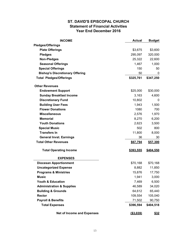### **ST. DAVID'S EPISCOPAL CHURCH Statement of Financial Activities Year End December 2016**

| <b>INCOME</b>                          | <b>Actual</b>    | <b>Budget</b> |
|----------------------------------------|------------------|---------------|
| <b>Pledges/Offerings</b>               |                  |               |
| <b>Plate Offerings</b>                 | \$3,675          | \$3,600       |
| <b>Pledges</b>                         | 295,097          | 320,000       |
| <b>Non-Pledges</b>                     | 25,322           | 22,600        |
| <b>Seasonal Offerings</b>              | 1,467            | 1,000         |
| <b>Special Offerings</b>               | 150              | 50            |
| <b>Bishop's Discretionary Offering</b> | 50               | 0             |
| <b>Total Pledges/Offerings</b>         | \$325,761        | \$347,250     |
| <b>Other Revenues</b>                  |                  |               |
| <b>Endowment Support</b>               | \$25,000         | \$30,000      |
| <b>Sunday Breakfast Income</b>         | 3,163            | 4,600         |
| <b>Discretionary Fund</b>              | 10,802           | 0             |
| <b>Building User Fees</b>              | 1,943            | 1,500         |
| <b>Flower Donations</b>                | 1080             | 700           |
| <b>Miscellaneous</b>                   | 2,576            | 1,970         |
| <b>Memorial</b>                        | 8,270            | 6,200         |
| <b>Youth Donations</b>                 | 2,623            | 3,500         |
| <b>Special Music</b>                   | 502              | 800           |
| <b>Transfers In</b>                    | 11,800           | 8,000         |
| <b>General Invst. Earnings</b>         | 36               | 30            |
| <b>Total Other Revenues</b>            | \$67,794         | \$57,300      |
| <b>Total Operating Income</b>          | <u>\$393,555</u> | \$404,550     |
| <b>EXPENSES</b>                        |                  |               |
| <b>Diocesan Apportionment</b>          | \$70,168         | \$70,168      |
| <b>Uncategorized Expense</b>           | 8,882            | 11,850        |
| <b>Programs &amp; Ministries</b>       | 15,876           | 17,750        |
| <b>Music</b>                           | 1,941            | 3,000         |
| <b>Youth &amp; Education</b>           | 7,469            | 6,500         |
| <b>Administration &amp; Supplies</b>   | 46,589           | 34,020        |
| <b>Building &amp; Grounds</b>          | 64,612           | 65,440        |
| <b>Rector</b>                          | 109,554          | 105,040       |
| <b>Payroll &amp; Benefits</b>          | 71,502           | 90,750        |
| <b>Total Expenses</b>                  | \$396,594        | \$404,518     |
| <b>Net of Income and Expenses</b>      | $($ \$3,039)     | \$32          |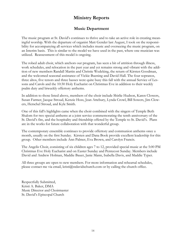# **Ministry Reports**

### **Music Department**

The music program at St. David's continues to thrive and to take an active role in creating meaningful worship. With the departure of organist Matt Gender last August, I took on the responsibility for accompanying all services which includes music and overseeing the music program, on an Interim basis. This is similar to the model we have used in the past, where one musician was utilized. Reassessment of this model is ongoing.

The robed adult choir, which anchors our program, has seen a bit of attrition through illness, work schedules, and relocation in the past year and yet remains strong and vibrant with the addition of new members Randall Martin and Christie Wedeking, the return of Kirsten Goodman, and the welcomed seasonal assistance of Vickie Buening and David Hall. The four sopranos, three altos, five tenors and three basses were quite busy this fall with the annual Service of Lessons and Carols and the 10:30 Holy Eucharist on Christmas Eve in addition to their weekly psalm duty and biweekly offertory anthems.

In addition to those listed above, members of the choir include Shirlie Hudson, Karen Clowers, Susan Farmer, Jacque Stroud, Kenzie Hoss, Jean Attebury, Lynda Crowl, Bill Sowers, Jim Clowers, Herschel Stroud, and Kyle Smith.

One of this fall's highlights came when the choir combined with the singers of Temple Beth Shalom for two special anthems at a joint service commemorating the tenth anniversary of the St. David's fire, and the hospitality and friendship offered by the Temple to St. David's. Plans are in the works for future collaboration with that wonderful group.

The contemporary ensemble continues to provide offertory and communion anthems once a month, usually on the first Sunday. Kirsten and Dana Book provide excellent leadership for this group. Other members include Ann Palmer, Eva Brown, and Carolyn Francis.

The Angelis Choir, consisting of six children ages 7 to 12, provided special music at the 5:00 PM Christmas Eve Holy Eucharist and on Easter Sunday and Pentecost Sunday. Members include David and Andrew Holman, Maddie Bauer, Janie Mann, Isabella Davis, and Maddie Typer.

All three groups are open to new members. For more information and rehearsal schedules, please contact me via email, kristi $@$ stdavidschurch.com or by calling the church office.

Respectfully Submitted, Kristi A. Baker, DMA Music Director and Choirmaster St. David's Episcopal Church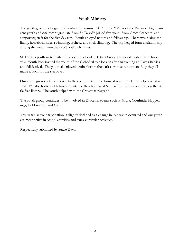# **Youth Ministry**

The youth group had a grand adventure the summer 2016 to the YMCA of the Rockies. Eight current youth and one recent graduate from St. David's joined five youth from Grace Cathedral and supporting staff for the five-day trip. Youth enjoyed nature and fellowship. There was hiking, zip lining, horseback rides, swimming, archery, and rock climbing. The trip helped form a relationship among the youth from the two Topeka churches.

St. David's youth were invited to a back to school lock-in at Grace Cathedral to start the school year. Youth later invited the youth of the Cathedral to a lock-in after an evening at Gary's Berries and fall festival. The youth all enjoyed getting lost in the dark corn maze, but thankfully they all made it back for the sleepover.

Our youth group offered service to the community in the form of serving at Let's Help twice this year. We also hosted a Halloween party for the children of St. David's. Work continues on the little free library. The youth helped with the Christmas pageant.

The youth group continues to be involved in Diocesan events such as Miqra, Youthtide, Happenings, Fall Fun Fest and Camp.

This year's active participation is slightly declined as a change in leadership occurred and our youth are more active in school activities and extra-curricular activities.

Respectfully submitted by Stacie Davis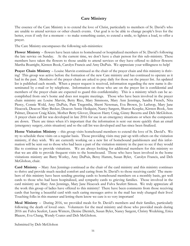# **Care Ministry**

The essence of the Care Ministry is to extend the love of Christ, particularly to members of St. David's who are unable to attend services or other church events. Our goal is to be able to change people's lives for the better, even if only for a moment – to make something easier, to extend a smile, to lighten a load, to offer a prayer.

The Care Ministry encompasses the following sub-ministries:

**Flower Ministry** – flowers have been taken to homebound or hospitalized members of St. David's following the late service on Sunday. At the current time, we don't have a chair person for this sub-ministry. These members have taken the flowers to those unable to attend services or they have offered to deliver flowers: Martha Boatright, Kirsten Book, Carolyn Francis and Amy DuPuis. We appreciate your willingness to help!

**Prayer Chain Ministry** – Louise Marvin continued as the chair of the prayer chain and this ministry is thriving! This group was active before the formation of the new Care ministry and has continued to operate as it had in the past. Members of the prayer chain are asked to pray daily for those on the prayer list. An updated list is published each month. When a prayer request is received, information regarding the new name is disseminated by e-mail or by telephone. Information on those who are on the prayer list is confidential and members of the prayer chain are expected to guard this confidentiality. This is a ministry which can be accomplished from one's home and does not require meetings. Those who have been involved in the prayer chain ministry are Louise Marvin, Betty Rice, Mary Simmons, Mary Ann Jennings, Sandra French, Nita Piercy, Connie Wold, Amy DuPuis, Pam Tregemba, Sherri Newman, Eva Brown, Jo Lathrop, Mary Jane Heacock, Deacon Mary Becker, Deacon Annie Hedquist, Nancy Sargent, Sharon Koepke, Kirsten Book, Ann Palmer, Deacon Craig Klein, Mother Betty Glover, Deacon Harry Craig, Ginny Becerra and Deb McGlohon. A prayer chain call list was developed in late 2016 for use in an emergency situations or when the computers are down. There are times when it's important that the information is sent out more quickly than an email (emergency surgery, crisis situation) and so the call list was developed and has since been finalized.

**Home Visitation Ministry** – this group visits homebound members to extend the love of St. David's. We try to schedule these visits on a regular basis. Those providing visits may pair up with others on the visitation ministry, if they wish. We are currently working on a new list of homebound parishioners and this information will be sent out to those who had been a part of the visitation ministry in the past to see if they would like to continue to provide visitations. We are always looking for additional members for this ministry so that we are able to provide frequent visits to the homebound. Those who have been involved in the home visitations ministry are Barry Worley, Amy DuPuis, Betsy Hamm, Susan Byler, Carolyn Francis, and Deb McGlohon, chair.

**Card Ministry** – Mary Ann Jennings continued as the chair of the card ministry and this ministry continues to thrive and provide much needed comfort and caring from St. David's to those receiving cards! The members of this ministry have been sending greeting cards to homebound members on a monthly basis, get well cards to those who had been hospitalized, and sympathy cards to grieving families. Those involved in the card ministry are Mary Ann Jennings, Mary Jane Heacock and Fulva Seufert Simon. We truly appreciate all the work this group of ladies have offered to this ministry! There have been comments from those receiving cards that having a beautiful card with such caring messages arrive in the mail has truly changed their lives! Touching folks in this manner and letting them know we care is so very important!

**Meal Ministry** – During 2016, we provided meals for St. David's members and their families, particularly following the death of loved ones. Volunteers for the meal ministry and those who provided meals during 2016 are Fulva Seufert, Laura Winters, Denise Dietrich, Susan Byler, Nancy Sargent, Christy Wedeking, Erica Blaauw, Eva Chang, Wendy Coates and Deb McGlohon.

Submitted by Deb McGlohon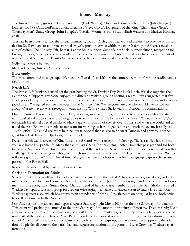# **Inreach Ministry**

The Inreach ministry group includes Parish Life (Barb Waters), Christian Formation for Adults (John Koepke), Dinners for 7/8 (Amy DuPuis), Sunday Breakfast (Steve Crowl), Daughters of the King (Charmaine Olson), Thursday Men's Study Group (John Koepke), Tuesday Women's Bible Study (Barb Waters) and Marilyn Homan, chair.

This has been a busy year for the Inreach ministry groups. Each group has worked tirelessly to provide opportunities for St. Davidians to continue spiritual growth, provide service within the church family and share a meal or cup of coffee. The Ministry Fair, bazaar, Lenten Soup suppers, Super Saints Social suppers/lunch, receptions following funerals, Sunday classes for adults, and of course our wonderful Sunday breakfasts have become a part of who we are at St. David's. Thanks to everyone who helped or attended any of these events!

Individual reports follow. Marilyn Homan, Inreach Ministry Chair

### **Bible study**

We are a committed small group. We meet on Tuesday's at 12:30 in the conference room for Bible reading and a DVD study.

### **Parish Life**

The Parish Life Ministry started off the year hosting the St. David's Day Pot Luck lunch. We also organize the Lenten Soup Suppers. Everyone enjoyed the different ministry groups hosting a night. It was suggested that five crock pots of soup are needed to make sure everyone gets to eat. An ice cream social was held in June and was enjoyed by all. We signed up new members at the Ministry Fair. We welcome anyone who would like to join our group. Our next event was a reception when Bishop Wolfe visited St. David's in October for confirmations.

Our 7th Annual Bazaar, held in November, was a big success and huge thanks go to all the folks who donated items, baked cakes, cookies and other goodies to raise funds for the benefit of the parish. We raised over \$2,600 for parish life alone! Special thanks to Mary Page who took all of the left over books, sold what she could and donated the rest. Enormous thanks to our team for working so hard to get set up and work the event. It really is a TEAM effort! We could use more help next year! Special thanks also to Spencer Duncan and crew for another great breakfast. It really helps bring in the crowd.

December 4th was a service of Nine Lessons and Carols with a reception following. The last coffee hour of the year was hosted by parish life. Many thanks to Eva Chang for organizing Coffee Hour this past year and for hosting several Sundays. Eva retired from this ministry at the end of 2016. We are looking for someone to take on this challenge! Thanks to everyone who graciously hosted, our attendance at Coffee Hour has really increased. We need folks to sign up for 2017-it's a lot of fun and a great activity. Co-host with a friend or group. Sign-up sheets are posted in the Parish Hall.

Respectfully submitted by Barbara Waters, Chair

### **Christian Formation for Adults**

Several activities for adult members of the parish began during the fall of 2016 and were organized and/or led by members of the Christian Formation for Adults Ministry Group. Jean Attebury sought and received our endorsement for three programs. Susan Zuber-Chall, a friend of hers who is a member of Temple Beth Sholom, started a Wednesday night discussion group focused on Wise Aging. Jean also convinced Susan to lead a late afternoon Wednesday yoga class, which has grown to an attendance of nearly 10 participants on a regular basis. Both activities will continue in to the New Year.

Jean Attebury also organized and began a regular Saturday night Movie Night on the first Saturday of the month. This event will probably be moved to the third Saturday of the month, beginning in February. Deacon Craig Klein conducted a Baptism and Confirmation class working with our ministry group during the early fall prior to the annual visit of the Bishop. Deacon Mary Becker conducted a series of sessions on spiritual practices during the season of Advent. While it is not directly involved with our ministry group, we have noted with approval, the addition of a pickleball court to the parish hall and regular instruction on the game by Steve Crowl on Wednesday afternoons.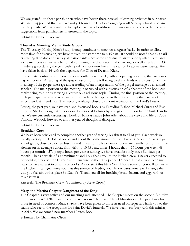We are grateful to those parishioners who have begun these new adult learning activities in our parish. We are disappointed that we have not yet found the key to an ongoing adult Sunday school program for the parish. We will continue to explore avenues to address this concern and would welcome any suggestions from parishioners interested in the topic.

Submitted by John Koepke

### **Thursday Morning Men's Study Group**

The Thursday Moring Men's Study Group continues to meet on a regular basis. In order to allow more time for discussion, we have moved our start time to 6:45 a.m. It should be noted that this earlier starting time does not satisfy all participants since some continue to arrive shortly after 6 a.m. and some members can usually be found continuing the discussion in the parking lot well after 8 a.m. Our numbers grew during the year with a peak participation late in the year of 17 active participants. We have fallen back to 16 with the departure for Ohio of Deacon Klein.

Our activity continues to follow the same outline each week, with an opening prayer by the last arriving participant. A reading of the gospel lesson for the following weekend leads to a discussion of the meaning of the gospel message and a reading of an interpretation of the gospel message by a learned scholar. The main portion of the meeting is occupied with a discussion of a chapter of the book currently being read or by viewing a lecture on a religions topic. During the final portion of the meeting, each participant is invited to share events that have transpired in their lives during the past week or since their last attendance. The meeting is always closed by a joint recitation of the Lord's Prayer.

During the past year, we have read and discussed books by Presiding Bishop Michael Curry and Bishop John Shelby Spong. We also viewed a series of lectures by a religion professor from North Carolina. We are currently discussing a book by Kansas native John Allen about the views and life of Pope Francis. We look forward to another year of thoughtful dialogue.

Submitted by John Koepke

### **Breakfast Crew**

We have been privileged to complete another year of serving breakfast to all of you. Each week we usually average 10-15 lbs. of bacon and about the same amount of hash browns. More fun facts: a gallon of gravy, close to 3 dozen biscuits and cinnamon rolls per week. There are usually four of us in the kitchen on an average Sunday from 6:30 to 10:45 a.m., times 4 hours, that  $= 16$  hours per week, 48 hours per month =576 people hours per year assuming we have breakfast only three Sundays per month. That's a whale of a commitment and I say thank you to the kitchen crew. I never expected to be cooking breakfast for 15 years and I am sure neither did Spencer Duncan. It has always been my hope to have at least two teams of cooks. As we start this New Year I hope some of you will join us in the kitchen. I can guarantee you that this service of feeding your fellow parishioners will change the way you feel about this place St. David's. Thank you all for breaking bread, bacon, and eggs with us this past year.

Sincerely, The Breakfast Crew (Submitted by Steve Crowl)

### **Mary and Martha Chapter Daughters of the King**

The Chapter is very active and our meetings well attended. The Chapter meets on the second Saturday of the month at 10:30am, in the conference room. The Prayer Shawl Ministries are keeping busy for those in need of comfort. Many shawls have been given to those in need on request. Thank you to the teams who see to the receptions for Saint David's funerals. We have been very busy with this ministry in 2016. We welcomed new member Kirsten Book.

Submitted by Charmaine Olson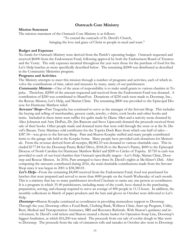### **Outreach Core Ministry**

#### **Mission Statement**

The mission statement of the Outreach Core Ministry is as follows:

"To extend the outreach of St. David's Church, bringing the love and grace of Christ to people in need and want."

#### **Budget and Expenses**

No funds for Outreach Ministry were derived from the Parish's operating budget. Outreach requested and received \$6000 from the Endowment Fund, following approval by both the Endowment Board of Trustees and the Vestry. The only expenses incurred throughout the year were those for the purchase of food for the Let's Help lunches as more specifically described below. The remaining \$2000 was distributed as described in the Community Ministries program.

### **Programs and Activities**

The Ministry attempts to meet this mission through a number of programs and activities, each of which involve the contributions of time, talent and treasures by many, many of our parishioners:

**Community Ministry**—One of the areas of responsibility is to make small grants to various charities in Topeka. Therefore, \$2000 of the amount requested and received from the Endowment Fund was donated. A contribution of \$200 was contributed to ShareFest. Donations of \$250 each were made to Doorstep, Inc., the Rescue Mission, Let's Help, and Marian Clinic. The remaining \$800 was provided to the Episcopal Diocese for Hurricane Matthew relief.

**Servants' Shop---**Pam Tregemba has continued to serve as the manager of the Servant Shop. This includes the buying and selling of merchandise, grocery cards, jewelry, t-shirts, cook books and other books and items. Included in these items were raffles for quilts made by Diana Allen and a nativity scene donated by Alice Johnston and Amy DuPuis, Dr. Jim Ransom and Steve Lipscomb donated the proceeds received from sale of their books. Other people made and donated items that were sold through the store or at the St. David's Bazaar. Terry Martinez sold certificates for the Topeka Duck Race from which one-half of sales--- \$387.50---was given to the Servant Shop. Pam and Sharon Koepke staffed and many people contributed items to the garage sale held at the Koepke home. Many people have provided cash donations for Memorials. From the revenue derived from all receipts, \$8,082.10 was donated to various charitable uses. This included \$177.84 for the Doorstep Pantry Relief Drive, \$104.26 to the Rector's Pantry, \$600 to the Episcopal Diocese of North Carolina for Hurricane Matthew Relief and \$200 to Circles of Topeka. \$1750 in cash was provided to each of our local charities that Outreach specifically targets---Let's Help, Marian Clinic, Doorstep and Rescue Mission. In 2016, Pam arranged to have three St. David's nights at McAlister's Deli. After computing the amounts contributed during 2016, the total charitable contributions made from the Servant Shop since it was begun in 2001 is \$38,380.01.

Let's Help—From the remaining \$4,000 received from the Endowment Fund, food was purchased for lunches that were prepared and served to more than 4000 people on the fourth Wednesday of each month. This is a ministry that has so many parishioners involved I hesitate to name any one person as coordinator. It is a program in which 35-40 parishioners, including many of the youth, have shared in the purchasing, preparation, serving, and cleanup required to serve an average of 400 people in 11/2 hours. In addition, the monthly collections in March of paper products and the hats and gloves in October were delivered to Let's Help.

**Doorstep—Sharon Koepke continued as coordinator in providing tremendous support to Doorstep.** Through the year, Doorstep offers a Food Bank, Clothing Bank, Wellness Clinic, Start-up Program, Utility, Rent, Medical and Transportation Assistance, SRS and Resource Referrals. With Sharon's guidance and involvement, St. David's sold tickets and Sharon created a theme basket for Operation Soup Line, Doorstep's biggest fundraiser, at which \$16,200 was raised. The proceeds from our sale of cookie dough in May went to Doorstep. The proceeds from the sale of cinnamon rolls and tamales in October also went to Doorstep.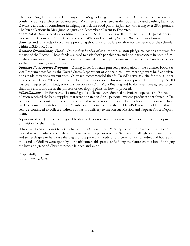The Paper Angel Tree resulted in many children's gifts being contributed to the Christmas Store where both youth and adult parishioners volunteered. Volunteers also assisted at the food pantry and clothing bank. St. David's was a major contributor in helping restock the food pantry in January, collecting over 2800 pounds. The bin collections in May, June, August and September all went to Doorstep.

**Sharefest 2016—I** served as coordinator this year. St. David's was well represented with 15 parishioners working for 4 hours on April 30 on projects at Whitson Elementary School. We were part of numerous churches and hundreds of volunteers providing thousands of dollars in labor for the benefit of the schools within U.S.D. No. 501.

**Rector's Discretionary Fund**—On the first Sunday of each month, all non-pledge collections are given for the use of the Rector. These funds are used to assist both parishioners and non-parishioners in need of immediate assistance. Outreach members have assisted in making announcements at the first Sunday services so that this ministry can continue.

**Summer Food Service Program**—During 2016, Outreach pursued participation in the Summer Food Service Program provided by the United States Department of Agriculture. Two meetings were held and visitations made to various current sites. Outreach recommended that St. David's serve as a site for meals under this program during 2017 with U.S.D. No. 501 at its sponsor. This was then approved by the Vestry. \$1000 has been requested as a budget for this purpose in 2017. Vicki Buening and Kathy Fries have agreed to cochair this effort and are in the process of developing plans on how to proceed.

**Miscellaneous**—In February, all canned goods collected were donated to Project Topeka. The Rescue Mission received the baby supplies that were donated in April, personal hygiene products contributed in December, and the blankets, sheets and towels that were provided in November. School supplies were delivered to Community Action in July. Members also participated in the St. David's Bazaar. In addition, this year we continued to collect children's books for delivery to the Rescue Mission and Topeka Police Department.

A portion of our January meeting will be devoted to a review of our current activities and the development of a vision for the future.

It has truly been an honor to serve chair of the Outreach Core Ministry the past four years. I have been blessed to see firsthand the dedicated service so many persons within St. David's willingly, enthusiastically and selflessly give to help ease the plight of the poor and needy of our community. Hundreds of hours and thousands of dollars were spent by our parishioners this past year fulfilling the Outreach mission of bringing the love and grace of Christ to people in need and want.

Respectfully submitted, Larry Buening, Chair